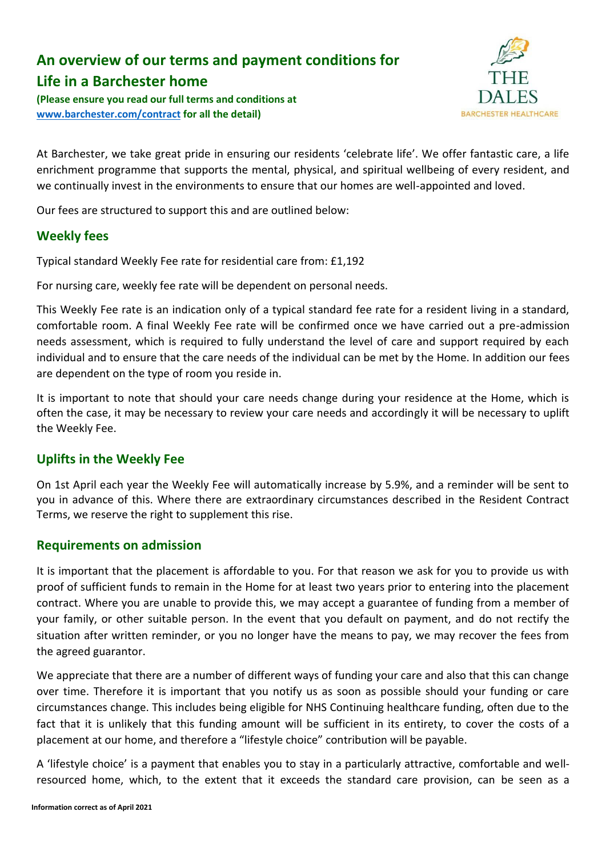# **An overview of our terms and payment conditions for**

# **Life in a Barchester home**

**(Please ensure you read our full terms and conditions at [www.barchester.com/contract](http://www.barchester.com/contract) for all the detail)**



At Barchester, we take great pride in ensuring our residents 'celebrate life'. We offer fantastic care, a life enrichment programme that supports the mental, physical, and spiritual wellbeing of every resident, and we continually invest in the environments to ensure that our homes are well-appointed and loved.

Our fees are structured to support this and are outlined below:

## **Weekly fees**

Typical standard Weekly Fee rate for residential care from: £1,192

For nursing care, weekly fee rate will be dependent on personal needs.

This Weekly Fee rate is an indication only of a typical standard fee rate for a resident living in a standard, comfortable room. A final Weekly Fee rate will be confirmed once we have carried out a pre-admission needs assessment, which is required to fully understand the level of care and support required by each individual and to ensure that the care needs of the individual can be met by the Home. In addition our fees are dependent on the type of room you reside in.

It is important to note that should your care needs change during your residence at the Home, which is often the case, it may be necessary to review your care needs and accordingly it will be necessary to uplift the Weekly Fee.

## **Uplifts in the Weekly Fee**

On 1st April each year the Weekly Fee will automatically increase by 5.9%, and a reminder will be sent to you in advance of this. Where there are extraordinary circumstances described in the Resident Contract Terms, we reserve the right to supplement this rise.

## **Requirements on admission**

It is important that the placement is affordable to you. For that reason we ask for you to provide us with proof of sufficient funds to remain in the Home for at least two years prior to entering into the placement contract. Where you are unable to provide this, we may accept a guarantee of funding from a member of your family, or other suitable person. In the event that you default on payment, and do not rectify the situation after written reminder, or you no longer have the means to pay, we may recover the fees from the agreed guarantor.

We appreciate that there are a number of different ways of funding your care and also that this can change over time. Therefore it is important that you notify us as soon as possible should your funding or care circumstances change. This includes being eligible for NHS Continuing healthcare funding, often due to the fact that it is unlikely that this funding amount will be sufficient in its entirety, to cover the costs of a placement at our home, and therefore a "lifestyle choice" contribution will be payable.

A 'lifestyle choice' is a payment that enables you to stay in a particularly attractive, comfortable and wellresourced home, which, to the extent that it exceeds the standard care provision, can be seen as a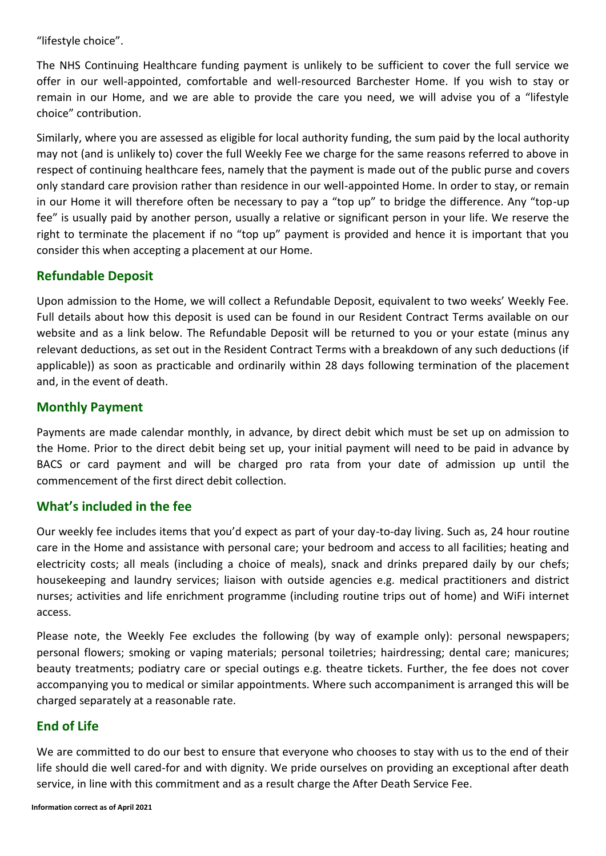"lifestyle choice".

The NHS Continuing Healthcare funding payment is unlikely to be sufficient to cover the full service we offer in our well-appointed, comfortable and well-resourced Barchester Home. If you wish to stay or remain in our Home, and we are able to provide the care you need, we will advise you of a "lifestyle choice" contribution.

Similarly, where you are assessed as eligible for local authority funding, the sum paid by the local authority may not (and is unlikely to) cover the full Weekly Fee we charge for the same reasons referred to above in respect of continuing healthcare fees, namely that the payment is made out of the public purse and covers only standard care provision rather than residence in our well-appointed Home. In order to stay, or remain in our Home it will therefore often be necessary to pay a "top up" to bridge the difference. Any "top-up fee" is usually paid by another person, usually a relative or significant person in your life. We reserve the right to terminate the placement if no "top up" payment is provided and hence it is important that you consider this when accepting a placement at our Home.

## **Refundable Deposit**

Upon admission to the Home, we will collect a Refundable Deposit, equivalent to two weeks' Weekly Fee. Full details about how this deposit is used can be found in our Resident Contract Terms available on our website and as a link below. The Refundable Deposit will be returned to you or your estate (minus any relevant deductions, as set out in the Resident Contract Terms with a breakdown of any such deductions (if applicable)) as soon as practicable and ordinarily within 28 days following termination of the placement and, in the event of death.

#### **Monthly Payment**

Payments are made calendar monthly, in advance, by direct debit which must be set up on admission to the Home. Prior to the direct debit being set up, your initial payment will need to be paid in advance by BACS or card payment and will be charged pro rata from your date of admission up until the commencement of the first direct debit collection.

## **What's included in the fee**

Our weekly fee includes items that you'd expect as part of your day-to-day living. Such as, 24 hour routine care in the Home and assistance with personal care; your bedroom and access to all facilities; heating and electricity costs; all meals (including a choice of meals), snack and drinks prepared daily by our chefs; housekeeping and laundry services; liaison with outside agencies e.g. medical practitioners and district nurses; activities and life enrichment programme (including routine trips out of home) and WiFi internet access.

Please note, the Weekly Fee excludes the following (by way of example only): personal newspapers; personal flowers; smoking or vaping materials; personal toiletries; hairdressing; dental care; manicures; beauty treatments; podiatry care or special outings e.g. theatre tickets. Further, the fee does not cover accompanying you to medical or similar appointments. Where such accompaniment is arranged this will be charged separately at a reasonable rate.

## **End of Life**

We are committed to do our best to ensure that everyone who chooses to stay with us to the end of their life should die well cared-for and with dignity. We pride ourselves on providing an exceptional after death service, in line with this commitment and as a result charge the After Death Service Fee.